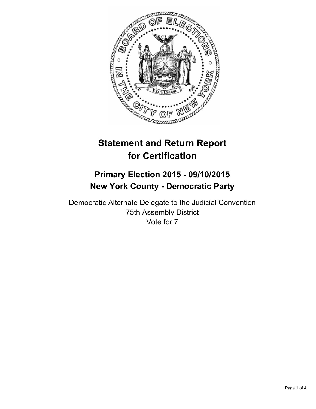

# **Statement and Return Report for Certification**

## **Primary Election 2015 - 09/10/2015 New York County - Democratic Party**

Democratic Alternate Delegate to the Judicial Convention 75th Assembly District Vote for 7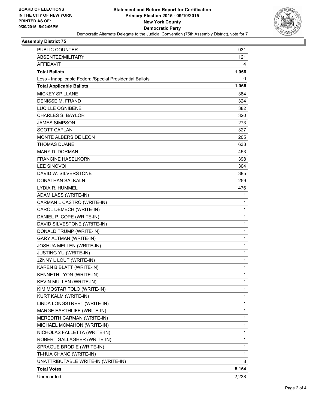

#### **Assembly District 75**

| <b>PUBLIC COUNTER</b>                                    | 931   |
|----------------------------------------------------------|-------|
| ABSENTEE/MILITARY                                        | 121   |
| AFFIDAVIT                                                | 4     |
| <b>Total Ballots</b>                                     | 1,056 |
| Less - Inapplicable Federal/Special Presidential Ballots | 0     |
| <b>Total Applicable Ballots</b>                          | 1,056 |
| <b>MICKEY SPILLANE</b>                                   | 384   |
| <b>DENISSE M. FRAND</b>                                  | 324   |
| <b>LUCILLE OGNIBENE</b>                                  | 382   |
| <b>CHARLES S. BAYLOR</b>                                 | 320   |
| <b>JAMES SIMPSON</b>                                     | 273   |
| <b>SCOTT CAPLAN</b>                                      | 327   |
| <b>MONTE ALBERS DE LEON</b>                              | 205   |
| <b>THOMAS DUANE</b>                                      | 633   |
| <b>MARY D. DORMAN</b>                                    | 453   |
| <b>FRANCINE HASELKORN</b>                                | 398   |
| <b>LEE SINOVOI</b>                                       | 304   |
| DAVID W. SILVERSTONE                                     | 385   |
| <b>DONATHAN SALKALN</b>                                  | 259   |
| LYDIA R. HUMMEL                                          | 476   |
| ADAM LASS (WRITE-IN)                                     | 1     |
| CARMAN L CASTRO (WRITE-IN)                               | 1     |
| CAROL DEMECH (WRITE-IN)                                  | 1     |
| DANIEL P. COPE (WRITE-IN)                                | 1     |
| DAVID SILVESTONE (WRITE-IN)                              | 1     |
| DONALD TRUMP (WRITE-IN)                                  | 1     |
| GARY ALTMAN (WRITE-IN)                                   | 1     |
| JOSHUA MELLEN (WRITE-IN)                                 | 1     |
| JUSTING YU (WRITE-IN)                                    | 1     |
| JZNNY L LOUT (WRITE-IN)                                  | 1     |
| KAREN B BLATT (WRITE-IN)                                 | 1     |
| KENNETH LYON (WRITE-IN)                                  | 1     |
| KEVIN MULLEN (WRITE-IN)                                  | 1     |
| KIM MOSTARITOLO (WRITE-IN)                               | 1     |
| KURT KALM (WRITE-IN)                                     | 1     |
| LINDA LONGSTREET (WRITE-IN)                              | 1     |
| MARGE EARTHLIFE (WRITE-IN)                               | 1     |
| MEREDITH CARMAN (WRITE-IN)                               | 1     |
| MICHAEL MCMAHON (WRITE-IN)                               | 1     |
| NICHOLAS FALLETTA (WRITE-IN)                             | 1     |
| ROBERT GALLAGHER (WRITE-IN)                              | 1     |
| SPRAGUE BRODIE (WRITE-IN)                                | 1     |
| TI-HUA CHANG (WRITE-IN)                                  | 1     |
| UNATTRIBUTABLE WRITE-IN (WRITE-IN)                       | 8     |
| <b>Total Votes</b>                                       | 5,154 |
| Unrecorded                                               | 2,238 |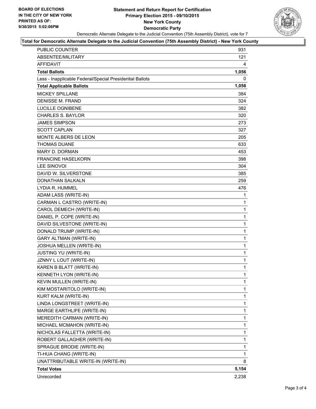#### **Statement and Return Report for Certification Primary Election 2015 - 09/10/2015 New York County Democratic Party** Democratic Alternate Delegate to the Judicial Convention (75th Assembly District), vote for 7



#### **Total for Democratic Alternate Delegate to the Judicial Convention (75th Assembly District) - New York County**

| <b>PUBLIC COUNTER</b>                                    | 931          |
|----------------------------------------------------------|--------------|
| ABSENTEE/MILITARY                                        | 121          |
| AFFIDAVIT                                                | 4            |
| <b>Total Ballots</b>                                     | 1,056        |
| Less - Inapplicable Federal/Special Presidential Ballots | 0            |
| <b>Total Applicable Ballots</b>                          | 1,056        |
| <b>MICKEY SPILLANE</b>                                   | 384          |
| <b>DENISSE M. FRAND</b>                                  | 324          |
| <b>LUCILLE OGNIBENE</b>                                  | 382          |
| <b>CHARLES S. BAYLOR</b>                                 | 320          |
| <b>JAMES SIMPSON</b>                                     | 273          |
| <b>SCOTT CAPLAN</b>                                      | 327          |
| MONTE ALBERS DE LEON                                     | 205          |
| <b>THOMAS DUANE</b>                                      | 633          |
| <b>MARY D. DORMAN</b>                                    | 453          |
| <b>FRANCINE HASELKORN</b>                                | 398          |
| <b>LEE SINOVOI</b>                                       | 304          |
| DAVID W. SILVERSTONE                                     | 385          |
| <b>DONATHAN SALKALN</b>                                  | 259          |
| LYDIA R. HUMMEL                                          | 476          |
| ADAM LASS (WRITE-IN)                                     | 1            |
| CARMAN L CASTRO (WRITE-IN)                               | 1            |
| CAROL DEMECH (WRITE-IN)                                  | 1            |
| DANIEL P. COPE (WRITE-IN)                                | 1            |
| DAVID SILVESTONE (WRITE-IN)                              | 1            |
| DONALD TRUMP (WRITE-IN)                                  | 1            |
| <b>GARY ALTMAN (WRITE-IN)</b>                            | 1            |
| JOSHUA MELLEN (WRITE-IN)                                 | 1            |
| JUSTING YU (WRITE-IN)                                    | 1            |
| JZNNY L LOUT (WRITE-IN)                                  | 1            |
| KAREN B BLATT (WRITE-IN)                                 | 1            |
| KENNETH LYON (WRITE-IN)                                  | $\mathbf{1}$ |
| KEVIN MULLEN (WRITE-IN)                                  | 1            |
| KIM MOSTARITOLO (WRITE-IN)                               | 1            |
| KURT KALM (WRITE-IN)                                     | 1            |
| LINDA LONGSTREET (WRITE-IN)                              | 1            |
| MARGE EARTHLIFE (WRITE-IN)                               | 1            |
| MEREDITH CARMAN (WRITE-IN)                               | 1            |
| MICHAEL MCMAHON (WRITE-IN)                               | 1            |
| NICHOLAS FALLETTA (WRITE-IN)                             | 1            |
| ROBERT GALLAGHER (WRITE-IN)                              | 1            |
| SPRAGUE BRODIE (WRITE-IN)                                | 1            |
| TI-HUA CHANG (WRITE-IN)                                  | 1            |
| UNATTRIBUTABLE WRITE-IN (WRITE-IN)                       | 8            |
| <b>Total Votes</b>                                       | 5,154        |
| Unrecorded                                               | 2,238        |